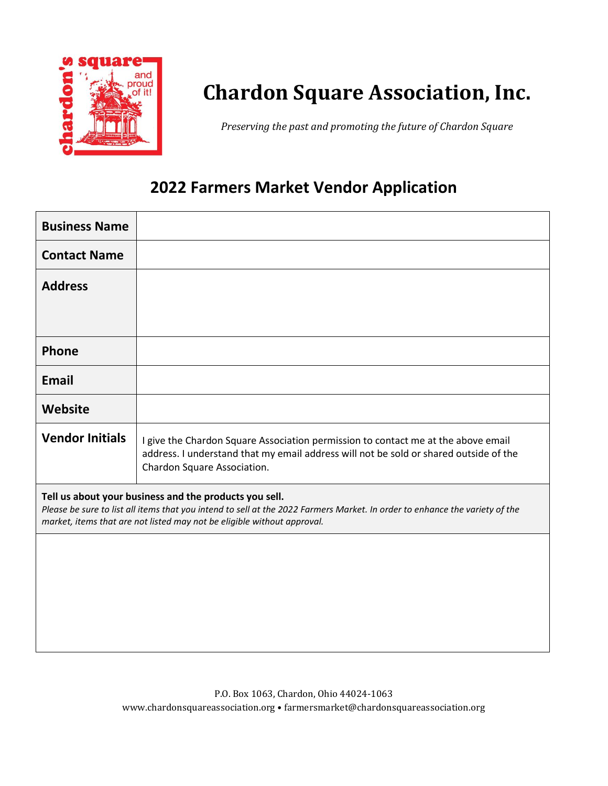

*Preserving the past and promoting the future of Chardon Square*

### **2022 Farmers Market Vendor Application**

| <b>Business Name</b>                                                                                                                                                                                                                                             |                                                                                                                                                                                                           |  |  |  |
|------------------------------------------------------------------------------------------------------------------------------------------------------------------------------------------------------------------------------------------------------------------|-----------------------------------------------------------------------------------------------------------------------------------------------------------------------------------------------------------|--|--|--|
| <b>Contact Name</b>                                                                                                                                                                                                                                              |                                                                                                                                                                                                           |  |  |  |
| <b>Address</b>                                                                                                                                                                                                                                                   |                                                                                                                                                                                                           |  |  |  |
|                                                                                                                                                                                                                                                                  |                                                                                                                                                                                                           |  |  |  |
| Phone                                                                                                                                                                                                                                                            |                                                                                                                                                                                                           |  |  |  |
| <b>Email</b>                                                                                                                                                                                                                                                     |                                                                                                                                                                                                           |  |  |  |
| Website                                                                                                                                                                                                                                                          |                                                                                                                                                                                                           |  |  |  |
| <b>Vendor Initials</b>                                                                                                                                                                                                                                           | I give the Chardon Square Association permission to contact me at the above email<br>address. I understand that my email address will not be sold or shared outside of the<br>Chardon Square Association. |  |  |  |
| Tell us about your business and the products you sell.<br>Please be sure to list all items that you intend to sell at the 2022 Farmers Market. In order to enhance the variety of the<br>market, items that are not listed may not be eligible without approval. |                                                                                                                                                                                                           |  |  |  |
|                                                                                                                                                                                                                                                                  |                                                                                                                                                                                                           |  |  |  |
|                                                                                                                                                                                                                                                                  |                                                                                                                                                                                                           |  |  |  |
|                                                                                                                                                                                                                                                                  |                                                                                                                                                                                                           |  |  |  |
|                                                                                                                                                                                                                                                                  |                                                                                                                                                                                                           |  |  |  |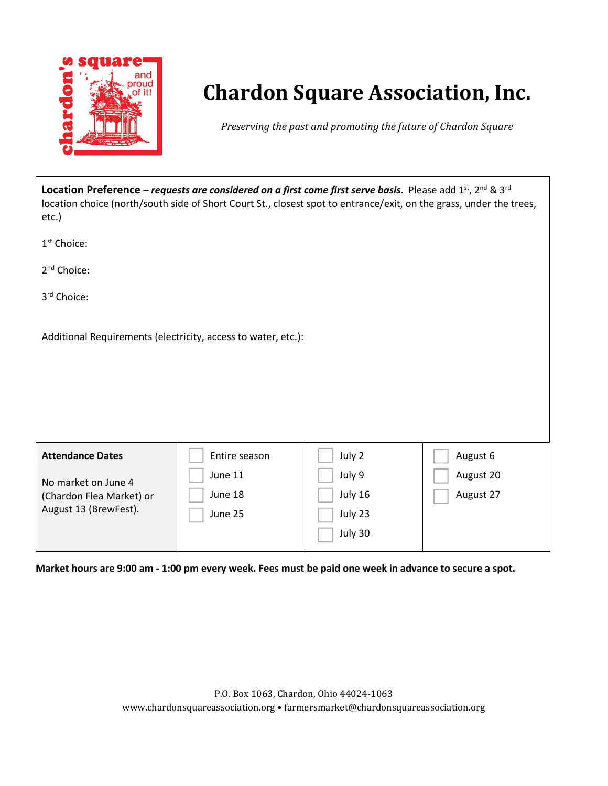

*Preserving the past and promoting the future of Chardon Square*

| Location Preference – requests are considered on a first come first serve basis. Please add 1st, 2nd & 3rd<br>location choice (north/south side of Short Court St., closest spot to entrance/exit, on the grass, under the trees,<br>etc.) |               |         |           |  |
|--------------------------------------------------------------------------------------------------------------------------------------------------------------------------------------------------------------------------------------------|---------------|---------|-----------|--|
| $1st$ Choice:                                                                                                                                                                                                                              |               |         |           |  |
| 2 <sup>nd</sup> Choice:                                                                                                                                                                                                                    |               |         |           |  |
| 3rd Choice:                                                                                                                                                                                                                                |               |         |           |  |
| Additional Requirements (electricity, access to water, etc.):                                                                                                                                                                              |               |         |           |  |
| <b>Attendance Dates</b>                                                                                                                                                                                                                    | Entire season | July 2  | August 6  |  |
| No market on June 4                                                                                                                                                                                                                        | June 11       | July 9  | August 20 |  |
| (Chardon Flea Market) or                                                                                                                                                                                                                   | June 18       | July 16 | August 27 |  |
| August 13 (BrewFest).                                                                                                                                                                                                                      | June 25       | July 23 |           |  |
|                                                                                                                                                                                                                                            |               | July 30 |           |  |

Market hours are 9:00 am - 1:00 pm every week. Fees must be paid one week in advance to secure a spot.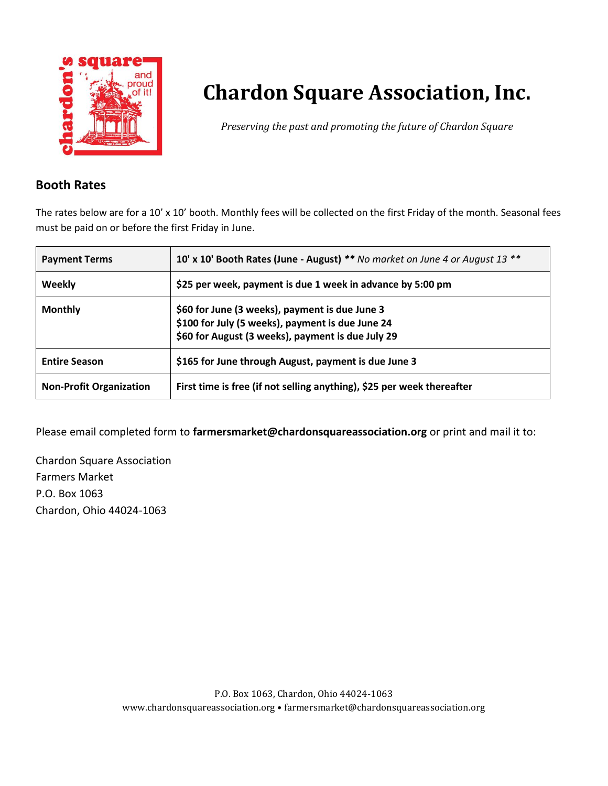

*Preserving the past and promoting the future of Chardon Square*

### **Booth Rates**

The rates below are for a 10' x 10' booth. Monthly fees will be collected on the first Friday of the month. Seasonal fees must be paid on or before the first Friday in June.

| <b>Payment Terms</b>           | 10' x 10' Booth Rates (June - August) ** No market on June 4 or August 13 **                                                                            |
|--------------------------------|---------------------------------------------------------------------------------------------------------------------------------------------------------|
| Weekly                         | \$25 per week, payment is due 1 week in advance by 5:00 pm                                                                                              |
| <b>Monthly</b>                 | \$60 for June (3 weeks), payment is due June 3<br>\$100 for July (5 weeks), payment is due June 24<br>\$60 for August (3 weeks), payment is due July 29 |
| <b>Entire Season</b>           | \$165 for June through August, payment is due June 3                                                                                                    |
| <b>Non-Profit Organization</b> | First time is free (if not selling anything), \$25 per week thereafter                                                                                  |

Please email completed form to **farmersmarket@chardonsquareassociation.org** or print and mail it to:

Chardon Square Association Farmers Market P.O. Box 1063 Chardon, Ohio 44024-1063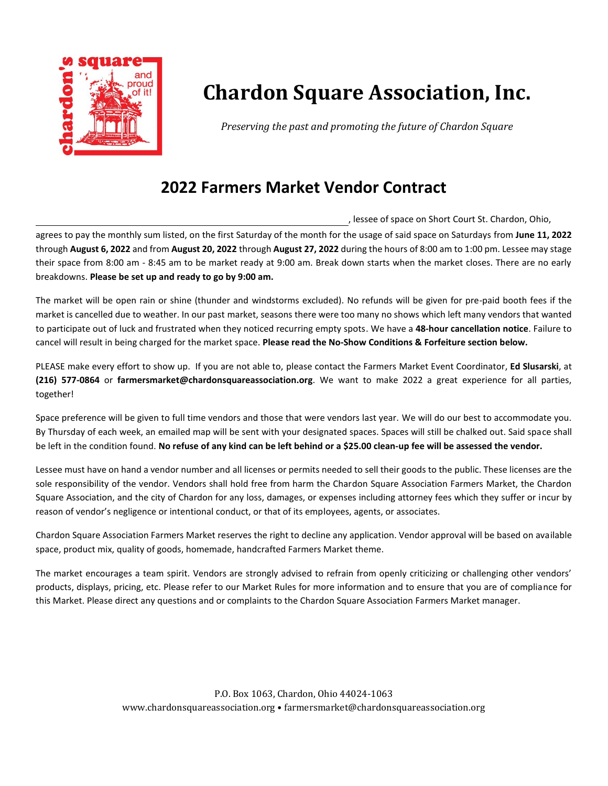

*Preserving the past and promoting the future of Chardon Square*

### **2022 Farmers Market Vendor Contract**

, lessee of space on Short Court St. Chardon, Ohio,

agrees to pay the monthly sum listed, on the first Saturday of the month for the usage of said space on Saturdays from **June 11, 2022** through **August 6, 2022** and from **August 20, 2022** through **August 27, 2022** during the hours of 8:00 am to 1:00 pm. Lessee may stage their space from 8:00 am - 8:45 am to be market ready at 9:00 am. Break down starts when the market closes. There are no early breakdowns. **Please be set up and ready to go by 9:00 am.**

The market will be open rain or shine (thunder and windstorms excluded). No refunds will be given for pre-paid booth fees if the market is cancelled due to weather. In our past market, seasons there were too many no shows which left many vendors that wanted to participate out of luck and frustrated when they noticed recurring empty spots. We have a **48-hour cancellation notice**. Failure to cancel will result in being charged for the market space. **Please read the No-Show Conditions & Forfeiture section below.**

PLEASE make every effort to show up. If you are not able to, please contact the Farmers Market Event Coordinator, **Ed Slusarski**, at **(216) 577-0864** or **farmersmarket@chardonsquareassociation.org**. We want to make 2022 a great experience for all parties, together!

Space preference will be given to full time vendors and those that were vendors last year. We will do our best to accommodate you. By Thursday of each week, an emailed map will be sent with your designated spaces. Spaces will still be chalked out. Said space shall be left in the condition found. No refuse of any kind can be left behind or a \$25.00 clean-up fee will be assessed the vendor.

Lessee must have on hand a vendor number and all licenses or permits needed to sell their goods to the public. These licenses are the sole responsibility of the vendor. Vendors shall hold free from harm the Chardon Square Association Farmers Market, the Chardon Square Association, and the city of Chardon for any loss, damages, or expenses including attorney fees which they suffer or incur by reason of vendor's negligence or intentional conduct, or that of its employees, agents, or associates.

Chardon Square Association Farmers Market reserves the right to decline any application. Vendor approval will be based on available space, product mix, quality of goods, homemade, handcrafted Farmers Market theme.

The market encourages a team spirit. Vendors are strongly advised to refrain from openly criticizing or challenging other vendors' products, displays, pricing, etc. Please refer to our Market Rules for more information and to ensure that you are of compliance for this Market. Please direct any questions and or complaints to the Chardon Square Association Farmers Market manager.